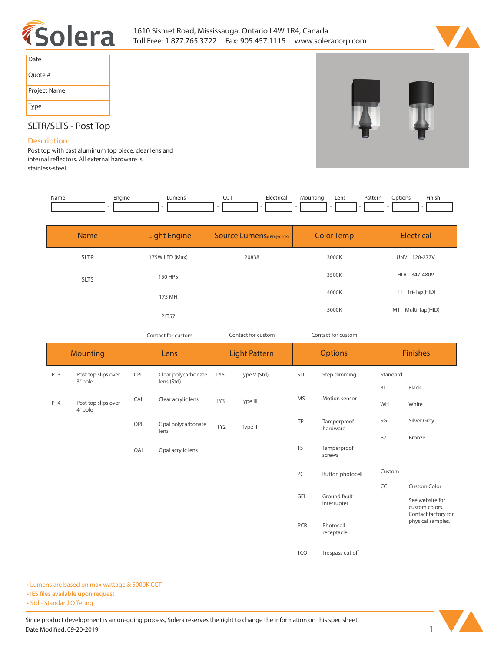



| Date         |
|--------------|
| Quote #      |
| Project Name |
| <b>Type</b>  |

# **SLTR/SLTS - Post Top**

### **Description:**

**Post top with cast aluminum top piece, clear lens and**  internal reflectors. All external hardware is **stainless-steel.** 

| Name | Engine | Lumens | ---<br>$\widetilde{\phantom{a}}$ | Electrica | Mountina | Lens | Pattern | Options | Finish |
|------|--------|--------|----------------------------------|-----------|----------|------|---------|---------|--------|
|      |        |        |                                  |           |          |      |         |         |        |

| <b>Name</b> | <b>Light Engine</b> | <b>Color Temp</b><br><b>Source Lumens</b> (LED)(5000K) |       | Electrical             |
|-------------|---------------------|--------------------------------------------------------|-------|------------------------|
| <b>SLTR</b> | 175W LED (Max)      | 20838                                                  | 3000K | <b>UNV</b><br>120-277V |
| <b>SLTS</b> | <b>150 HPS</b>      |                                                        | 3500K | <b>HLV</b><br>347-480V |
|             | 175 MH              |                                                        | 4000K | TT Tri-Tap(HID)        |
|             | PLT57               |                                                        | 5000K | MT Multi-Tap(HID)      |

*Contact for custom Contact for custom Contact for custom*

|     | <b>Mounting</b>                |     | Lens                              |                 | <b>Light Pattern</b> |                                    | <b>Options</b>          |                   | <b>Finishes</b>                                          |  |
|-----|--------------------------------|-----|-----------------------------------|-----------------|----------------------|------------------------------------|-------------------------|-------------------|----------------------------------------------------------|--|
| PT3 | Post top slips over<br>3" pole | CPL | Clear polycarbonate<br>lens (Std) | TY5             | Type V (Std)         | SD                                 | Step dimming            | Standard          |                                                          |  |
|     |                                |     |                                   |                 |                      |                                    |                         | BL                | Black                                                    |  |
| PT4 | Post top slips over<br>4" pole | CAL | Clear acrylic lens                | TY3             | Type III             | MS                                 | Motion sensor           | WH                | White                                                    |  |
|     |                                | OPL | Opal polycarbonate<br>lens        | TY <sub>2</sub> | Type II              | TP                                 | Tamperproof<br>hardware | SG                | Silver Grey                                              |  |
|     |                                |     |                                   |                 |                      |                                    |                         | <b>BZ</b>         | <b>Bronze</b>                                            |  |
|     |                                | OAL | Opal acrylic lens                 |                 |                      | <b>TS</b>                          | Tamperproof<br>screws   |                   |                                                          |  |
|     |                                |     |                                   |                 |                      | PC                                 | Button photocell        | Custom            |                                                          |  |
|     |                                |     |                                   |                 |                      |                                    |                         | CC                | <b>Custom Color</b>                                      |  |
|     |                                |     |                                   |                 |                      | GFI<br>Ground fault<br>interrupter |                         |                   | See website for<br>custom colors.<br>Contact factory for |  |
|     |                                |     |                                   |                 | PCR                  | Photocell<br>receptacle            |                         | physical samples. |                                                          |  |
|     |                                |     |                                   |                 |                      | <b>TCO</b>                         | Trespass cut off        |                   |                                                          |  |

**• Lumens are based on max wattage & 5000K CCT**

**• IES files available upon request** 

• Std - Standard Offering

Since product development is an on-going process, Solera reserves the right to change the information on this spec sheet. **Date Modified: 09-20-2019** 1